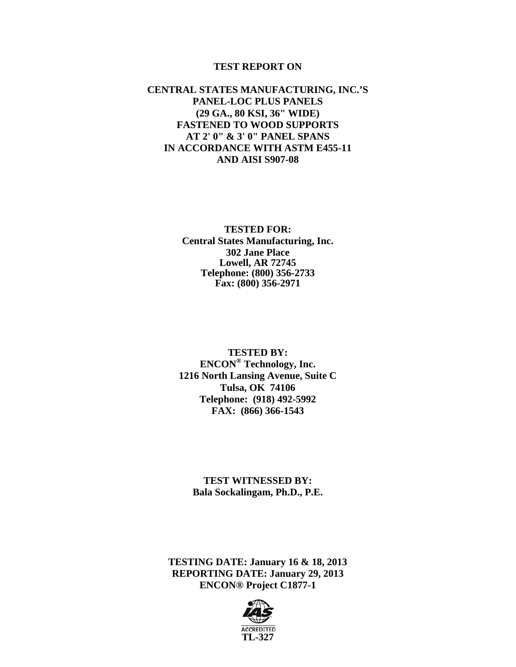#### **TEST REPORT ON**

### **CENTRAL STATES MANUFACTURING, INC.'S PANEL-LOC PLUS PANELS (29 GA., 80 KSI, 36" WIDE) FASTENED TO WOOD SUPPORTS AT 2' 0" & 3' 0" PANEL SPANS IN ACCORDANCE WITH ASTM E455-11 AND AISI S907-08**

#### **TESTED FOR: Central States Manufacturing, Inc. 302 Jane Place Lowell, AR 72745 Telephone: (800) 356-2733 Fax: (800) 356-2971**

**TESTED BY: ENCON® Technology, Inc. 1216 North Lansing Avenue, Suite C Tulsa, OK 74106 Telephone: (918) 492-5992 FAX: (866) 366-1543** 

**TEST WITNESSED BY: Bala Sockalingam, Ph.D., P.E.** 

**TESTING DATE: January 16 & 18, 2013 REPORTING DATE: January 29, 2013 ENCON® Project C1877-1** 

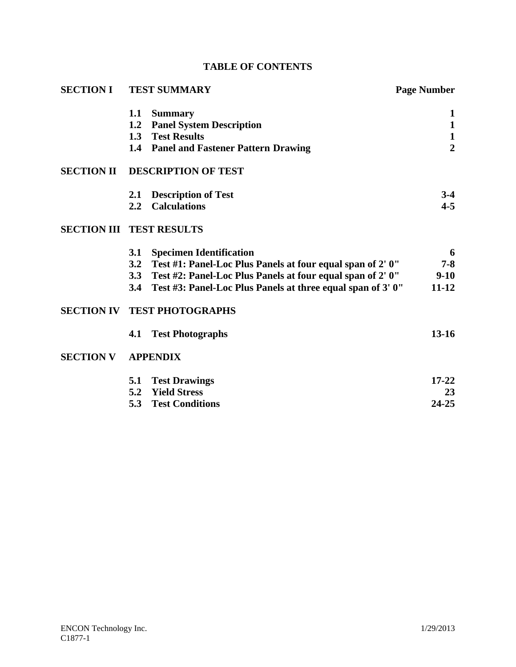|  | <b>TABLE OF CONTENTS</b> |
|--|--------------------------|
|--|--------------------------|

| <b>SECTION I</b>                | <b>TEST SUMMARY</b> |                                                                | <b>Page Number</b> |  |
|---------------------------------|---------------------|----------------------------------------------------------------|--------------------|--|
|                                 | 1.1                 | <b>Summary</b>                                                 | 1                  |  |
|                                 | 1.2                 | <b>Panel System Description</b>                                | $\mathbf{1}$       |  |
|                                 | 1.3                 | <b>Test Results</b>                                            | $\mathbf{1}$       |  |
|                                 |                     | 1.4 Panel and Fastener Pattern Drawing                         | $\overline{2}$     |  |
| <b>SECTION II</b>               |                     | <b>DESCRIPTION OF TEST</b>                                     |                    |  |
|                                 | 2.1                 | <b>Description of Test</b>                                     | $3-4$              |  |
|                                 | $2.2^{\circ}$       | <b>Calculations</b>                                            | $4 - 5$            |  |
| <b>SECTION III TEST RESULTS</b> |                     |                                                                |                    |  |
|                                 | 3.1                 | <b>Specimen Identification</b>                                 | 6                  |  |
|                                 |                     | 3.2 Test #1: Panel-Loc Plus Panels at four equal span of 2' 0" | $7 - 8$            |  |
|                                 |                     | 3.3 Test #2: Panel-Loc Plus Panels at four equal span of 2' 0" | $9-10$             |  |
|                                 | 3.4                 | Test #3: Panel-Loc Plus Panels at three equal span of 3' 0"    | $11 - 12$          |  |
|                                 |                     | <b>SECTION IV TEST PHOTOGRAPHS</b>                             |                    |  |
|                                 | 4.1                 | <b>Test Photographs</b>                                        | $13 - 16$          |  |
| <b>SECTION V</b>                |                     | <b>APPENDIX</b>                                                |                    |  |
|                                 | 5.1                 | <b>Test Drawings</b>                                           | $17 - 22$          |  |
|                                 |                     | 5.2 Yield Stress                                               | 23                 |  |
|                                 | 5.3                 | <b>Test Conditions</b>                                         | $24 - 25$          |  |
|                                 |                     |                                                                |                    |  |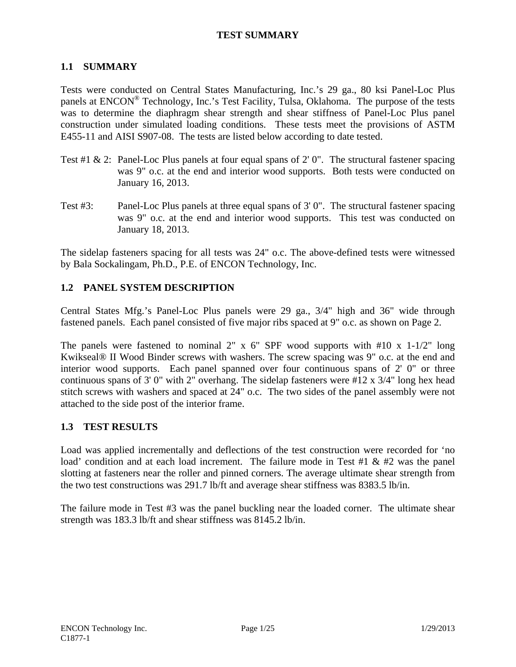## **TEST SUMMARY**

## **1.1 SUMMARY**

Tests were conducted on Central States Manufacturing, Inc.'s 29 ga., 80 ksi Panel-Loc Plus panels at ENCON® Technology, Inc.'s Test Facility, Tulsa, Oklahoma. The purpose of the tests was to determine the diaphragm shear strength and shear stiffness of Panel-Loc Plus panel construction under simulated loading conditions. These tests meet the provisions of ASTM E455-11 and AISI S907-08. The tests are listed below according to date tested.

- Test #1 & 2: Panel-Loc Plus panels at four equal spans of 2' 0". The structural fastener spacing was 9" o.c. at the end and interior wood supports. Both tests were conducted on January 16, 2013.
- Test #3: Panel-Loc Plus panels at three equal spans of 3' 0". The structural fastener spacing was 9" o.c. at the end and interior wood supports. This test was conducted on January 18, 2013.

The sidelap fasteners spacing for all tests was 24" o.c. The above-defined tests were witnessed by Bala Sockalingam, Ph.D., P.E. of ENCON Technology, Inc.

## **1.2 PANEL SYSTEM DESCRIPTION**

Central States Mfg.'s Panel-Loc Plus panels were 29 ga., 3/4" high and 36" wide through fastened panels. Each panel consisted of five major ribs spaced at 9" o.c. as shown on Page 2.

The panels were fastened to nominal 2" x  $6$ " SPF wood supports with  $#10$  x  $1-1/2$ " long Kwikseal® II Wood Binder screws with washers. The screw spacing was 9" o.c. at the end and interior wood supports. Each panel spanned over four continuous spans of 2' 0" or three continuous spans of 3' 0" with 2" overhang. The sidelap fasteners were #12 x 3/4" long hex head stitch screws with washers and spaced at 24" o.c. The two sides of the panel assembly were not attached to the side post of the interior frame.

## **1.3 TEST RESULTS**

Load was applied incrementally and deflections of the test construction were recorded for 'no load' condition and at each load increment. The failure mode in Test #1 & #2 was the panel slotting at fasteners near the roller and pinned corners. The average ultimate shear strength from the two test constructions was 291.7 lb/ft and average shear stiffness was 8383.5 lb/in.

The failure mode in Test #3 was the panel buckling near the loaded corner. The ultimate shear strength was 183.3 lb/ft and shear stiffness was 8145.2 lb/in.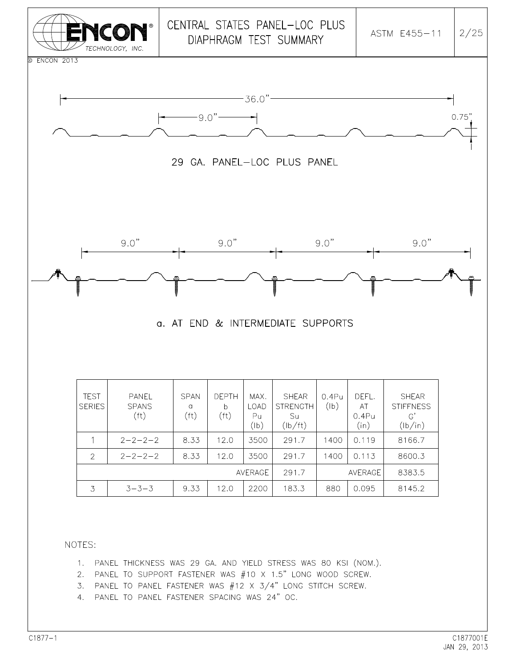

- 1. PANEL THICKNESS WAS 29 GA. AND YIELD STRESS WAS 80 KSI (NOM.).
- 2. PANEL TO SUPPORT FASTENER WAS #10 X 1.5" LONG WOOD SCREW.
- 3. PANEL TO PANEL FASTENER WAS #12 X 3/4" LONG STITCH SCREW.
- 4. PANEL TO PANEL FASTENER SPACING WAS 24" OC.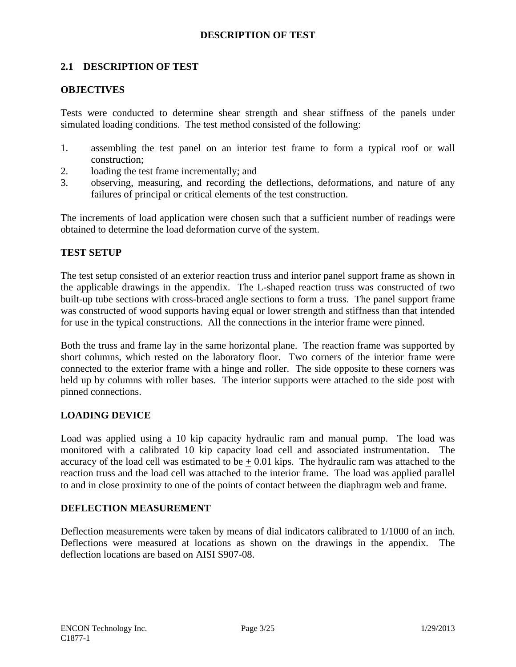## **DESCRIPTION OF TEST**

## **2.1 DESCRIPTION OF TEST**

## **OBJECTIVES**

Tests were conducted to determine shear strength and shear stiffness of the panels under simulated loading conditions. The test method consisted of the following:

- 1. assembling the test panel on an interior test frame to form a typical roof or wall construction;
- 2. loading the test frame incrementally; and
- 3. observing, measuring, and recording the deflections, deformations, and nature of any failures of principal or critical elements of the test construction.

The increments of load application were chosen such that a sufficient number of readings were obtained to determine the load deformation curve of the system.

## **TEST SETUP**

The test setup consisted of an exterior reaction truss and interior panel support frame as shown in the applicable drawings in the appendix. The L-shaped reaction truss was constructed of two built-up tube sections with cross-braced angle sections to form a truss. The panel support frame was constructed of wood supports having equal or lower strength and stiffness than that intended for use in the typical constructions. All the connections in the interior frame were pinned.

Both the truss and frame lay in the same horizontal plane. The reaction frame was supported by short columns, which rested on the laboratory floor. Two corners of the interior frame were connected to the exterior frame with a hinge and roller. The side opposite to these corners was held up by columns with roller bases. The interior supports were attached to the side post with pinned connections.

#### **LOADING DEVICE**

Load was applied using a 10 kip capacity hydraulic ram and manual pump. The load was monitored with a calibrated 10 kip capacity load cell and associated instrumentation. The accuracy of the load cell was estimated to be  $+ 0.01$  kips. The hydraulic ram was attached to the reaction truss and the load cell was attached to the interior frame. The load was applied parallel to and in close proximity to one of the points of contact between the diaphragm web and frame.

#### **DEFLECTION MEASUREMENT**

Deflection measurements were taken by means of dial indicators calibrated to 1/1000 of an inch. Deflections were measured at locations as shown on the drawings in the appendix. The deflection locations are based on AISI S907-08.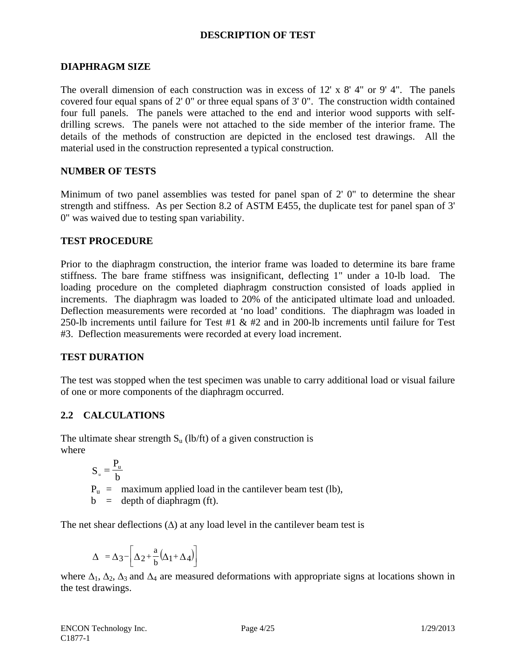## **DESCRIPTION OF TEST**

### **DIAPHRAGM SIZE**

The overall dimension of each construction was in excess of 12' x 8' 4" or 9' 4". The panels covered four equal spans of 2' 0" or three equal spans of 3' 0". The construction width contained four full panels. The panels were attached to the end and interior wood supports with selfdrilling screws. The panels were not attached to the side member of the interior frame. The details of the methods of construction are depicted in the enclosed test drawings. All the material used in the construction represented a typical construction.

## **NUMBER OF TESTS**

Minimum of two panel assemblies was tested for panel span of 2' 0" to determine the shear strength and stiffness. As per Section 8.2 of ASTM E455, the duplicate test for panel span of 3' 0" was waived due to testing span variability.

## **TEST PROCEDURE**

Prior to the diaphragm construction, the interior frame was loaded to determine its bare frame stiffness. The bare frame stiffness was insignificant, deflecting 1" under a 10-lb load. The loading procedure on the completed diaphragm construction consisted of loads applied in increments. The diaphragm was loaded to 20% of the anticipated ultimate load and unloaded. Deflection measurements were recorded at 'no load' conditions. The diaphragm was loaded in 250-lb increments until failure for Test #1  $\&$  #2 and in 200-lb increments until failure for Test #3. Deflection measurements were recorded at every load increment.

#### **TEST DURATION**

The test was stopped when the test specimen was unable to carry additional load or visual failure of one or more components of the diaphragm occurred.

## **2.2 CALCULATIONS**

The ultimate shear strength  $S_u$  (lb/ft) of a given construction is where

> $P_u$  = maximum applied load in the cantilever beam test (lb),  $b =$  depth of diaphragm (ft). b  $S_u = \frac{P_u}{h}$

The net shear deflections  $(\Delta)$  at any load level in the cantilever beam test is

$$
\Delta = \Delta_3 - \left[ \Delta_2 + \frac{a}{b} (\Delta_1 + \Delta_4) \right]
$$

where  $\Delta_1$ ,  $\Delta_2$ ,  $\Delta_3$  and  $\Delta_4$  are measured deformations with appropriate signs at locations shown in the test drawings.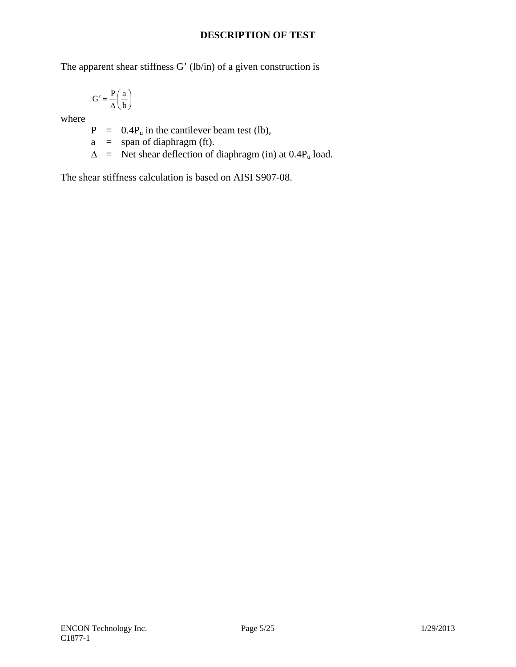## **DESCRIPTION OF TEST**

The apparent shear stiffness G' (lb/in) of a given construction is

$$
G' = \frac{P}{\Delta} \left( \frac{a}{b} \right)
$$

where

 $P = 0.4P_u$  in the cantilever beam test (lb),

 $a = span of diaphragm (ft).$ 

 $\Delta$  = Net shear deflection of diaphragm (in) at 0.4P<sub>u</sub> load.

The shear stiffness calculation is based on AISI S907-08.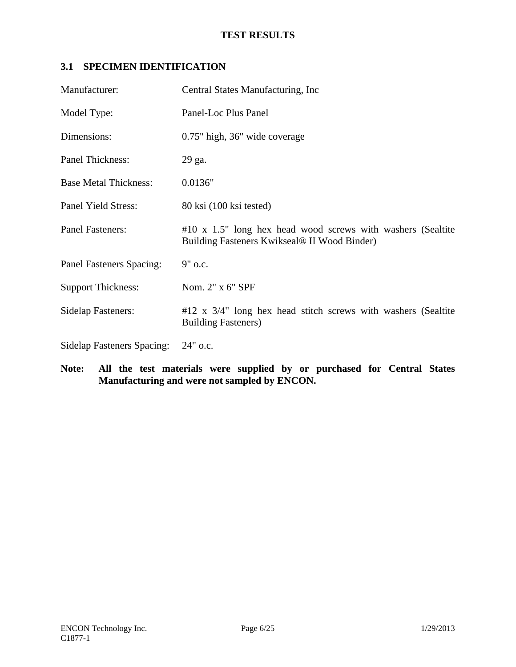# **3.1 SPECIMEN IDENTIFICATION**

| Manufacturer:                     | Central States Manufacturing, Inc.                                                                             |
|-----------------------------------|----------------------------------------------------------------------------------------------------------------|
| Model Type:                       | Panel-Loc Plus Panel                                                                                           |
| Dimensions:                       | 0.75" high, 36" wide coverage                                                                                  |
| Panel Thickness:                  | 29 ga.                                                                                                         |
| <b>Base Metal Thickness:</b>      | 0.0136"                                                                                                        |
| Panel Yield Stress:               | 80 ksi (100 ksi tested)                                                                                        |
| <b>Panel Fasteners:</b>           | $\#10$ x 1.5" long hex head wood screws with washers (Sealtite<br>Building Fasteners Kwikseal® II Wood Binder) |
| Panel Fasteners Spacing:          | 9" o.c.                                                                                                        |
| <b>Support Thickness:</b>         | Nom. 2" x 6" SPF                                                                                               |
| <b>Sidelap Fasteners:</b>         | $#12$ x $3/4$ " long hex head stitch screws with washers (Sealtite<br><b>Building Fasteners)</b>               |
| <b>Sidelap Fasteners Spacing:</b> | $24"$ o.c.                                                                                                     |

**Note: All the test materials were supplied by or purchased for Central States Manufacturing and were not sampled by ENCON.**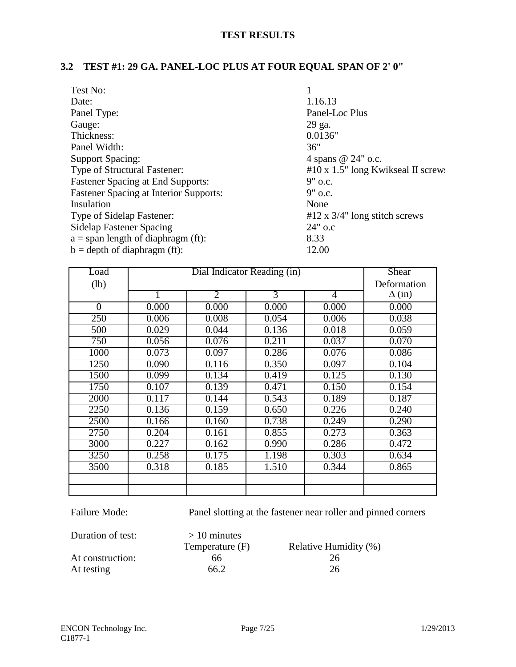# **3.2 TEST #1: 29 GA. PANEL-LOC PLUS AT FOUR EQUAL SPAN OF 2' 0"**

| Test No:                                      |                                          |
|-----------------------------------------------|------------------------------------------|
| Date:                                         | 1.16.13                                  |
| Panel Type:                                   | Panel-Loc Plus                           |
| Gauge:                                        | 29 ga.                                   |
| Thickness:                                    | 0.0136"                                  |
| Panel Width:                                  | 36"                                      |
| <b>Support Spacing:</b>                       | 4 spans @ 24" o.c.                       |
| Type of Structural Fastener:                  | $#10 \times 1.5"$ long Kwikseal II screw |
| <b>Fastener Spacing at End Supports:</b>      | $9"$ o.c.                                |
| <b>Fastener Spacing at Interior Supports:</b> | $9"$ o.c.                                |
| Insulation                                    | None                                     |
| Type of Sidelap Fastener:                     | $#12 \times 3/4"$ long stitch screws     |
| <b>Sidelap Fastener Spacing</b>               | $24"$ o.c                                |
| $a =$ span length of diaphragm (ft):          | 8.33                                     |
| $b = depth of diaphragm (ft):$                | 12.00                                    |

| Load           | Dial Indicator Reading (in) |                |                | Shear          |               |
|----------------|-----------------------------|----------------|----------------|----------------|---------------|
| (lb)           |                             |                |                | Deformation    |               |
|                | 1                           | $\overline{2}$ | $\overline{3}$ | $\overline{4}$ | $\Delta$ (in) |
| $\overline{0}$ | 0.000                       | 0.000          | 0.000          | 0.000          | 0.000         |
| 250            | 0.006                       | 0.008          | 0.054          | 0.006          | 0.038         |
| 500            | 0.029                       | 0.044          | 0.136          | 0.018          | 0.059         |
| 750            | 0.056                       | 0.076          | 0.211          | 0.037          | 0.070         |
| 1000           | 0.073                       | 0.097          | 0.286          | 0.076          | 0.086         |
| 1250           | 0.090                       | 0.116          | 0.350          | 0.097          | 0.104         |
| 1500           | 0.099                       | 0.134          | 0.419          | 0.125          | 0.130         |
| 1750           | 0.107                       | 0.139          | 0.471          | 0.150          | 0.154         |
| 2000           | 0.117                       | 0.144          | 0.543          | 0.189          | 0.187         |
| 2250           | 0.136                       | 0.159          | 0.650          | 0.226          | 0.240         |
| 2500           | 0.166                       | 0.160          | 0.738          | 0.249          | 0.290         |
| 2750           | 0.204                       | 0.161          | 0.855          | 0.273          | 0.363         |
| 3000           | 0.227                       | 0.162          | 0.990          | 0.286          | 0.472         |
| 3250           | 0.258                       | 0.175          | 1.198          | 0.303          | 0.634         |
| 3500           | 0.318                       | 0.185          | 1.510          | 0.344          | 0.865         |
|                |                             |                |                |                |               |
|                |                             |                |                |                |               |

Failure Mode: Panel slotting at the fastener near roller and pinned corners

| Duration of test: | $>10$ minutes   |                       |
|-------------------|-----------------|-----------------------|
|                   | Temperature (F) | Relative Humidity (%) |
| At construction:  | 66              | 26                    |
| At testing        | 66.2            | 26                    |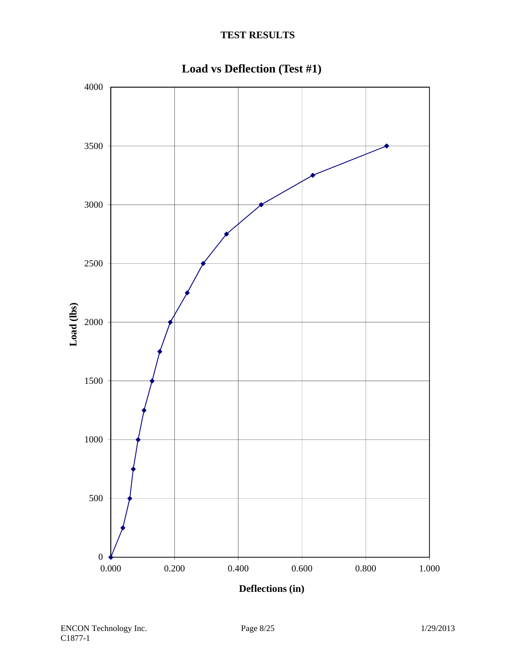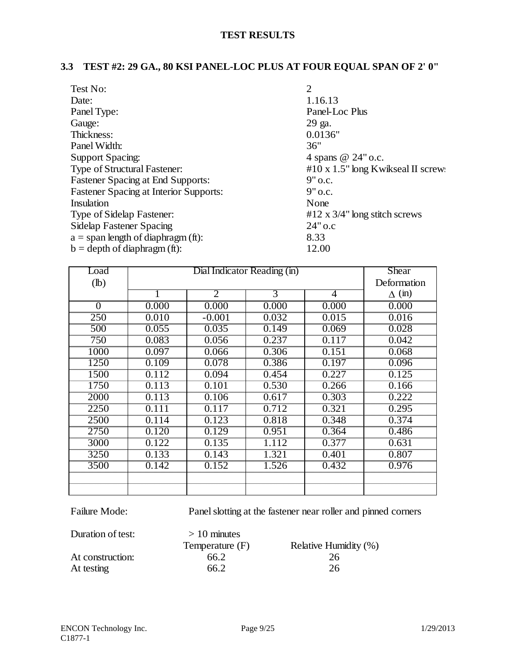# **3.3 TEST #2: 29 GA., 80 KSI PANEL-LOC PLUS AT FOUR EQUAL SPAN OF 2' 0"**

| Test No:                                      | $\overline{2}$                           |
|-----------------------------------------------|------------------------------------------|
| Date:                                         | 1.16.13                                  |
| Panel Type:                                   | Panel-Loc Plus                           |
| Gauge:                                        | 29 ga.                                   |
| Thickness:                                    | 0.0136"                                  |
| Panel Width:                                  | 36"                                      |
| Support Spacing:                              | 4 spans @ 24" o.c.                       |
| Type of Structural Fastener:                  | $#10 \times 1.5"$ long Kwikseal II screw |
| <b>Fastener Spacing at End Supports:</b>      | $9"$ o.c.                                |
| <b>Fastener Spacing at Interior Supports:</b> | $9"$ o.c.                                |
| Insulation                                    | None                                     |
| Type of Sidelap Fastener:                     | #12 x $3/4$ " long stitch screws         |
| <b>Sidelap Fastener Spacing</b>               | 24" o.c                                  |
| $a =$ span length of diaphragm (ft):          | 8.33                                     |
| $b = depth of diaphragm (ft):$                | 12.00                                    |

| Load     | Dial Indicator Reading (in) |                |       |                | Shear         |
|----------|-----------------------------|----------------|-------|----------------|---------------|
| $(lb)$   |                             |                |       | Deformation    |               |
|          | 1                           | $\overline{2}$ | 3     | $\overline{4}$ | $\Delta$ (in) |
| $\Omega$ | 0.000                       | 0.000          | 0.000 | 0.000          | 0.000         |
| 250      | 0.010                       | $-0.001$       | 0.032 | 0.015          | 0.016         |
| 500      | 0.055                       | 0.035          | 0.149 | 0.069          | 0.028         |
| 750      | 0.083                       | 0.056          | 0.237 | 0.117          | 0.042         |
| 1000     | 0.097                       | 0.066          | 0.306 | 0.151          | 0.068         |
| 1250     | 0.109                       | 0.078          | 0.386 | 0.197          | 0.096         |
| 1500     | 0.112                       | 0.094          | 0.454 | 0.227          | 0.125         |
| 1750     | 0.113                       | 0.101          | 0.530 | 0.266          | 0.166         |
| 2000     | 0.113                       | 0.106          | 0.617 | 0.303          | 0.222         |
| 2250     | 0.111                       | 0.117          | 0.712 | 0.321          | 0.295         |
| 2500     | 0.114                       | 0.123          | 0.818 | 0.348          | 0.374         |
| 2750     | 0.120                       | 0.129          | 0.951 | 0.364          | 0.486         |
| 3000     | 0.122                       | 0.135          | 1.112 | 0.377          | 0.631         |
| 3250     | 0.133                       | 0.143          | 1.321 | 0.401          | 0.807         |
| 3500     | 0.142                       | 0.152          | 1.526 | 0.432          | 0.976         |
|          |                             |                |       |                |               |
|          |                             |                |       |                |               |

Failure Mode: Panel slotting at the fastener near roller and pinned corners

| Duration of test: | $>10$ minutes   |                       |
|-------------------|-----------------|-----------------------|
|                   | Temperature (F) | Relative Humidity (%) |
| At construction:  | 66.2            | 26                    |
| At testing        | 66.2            | 26                    |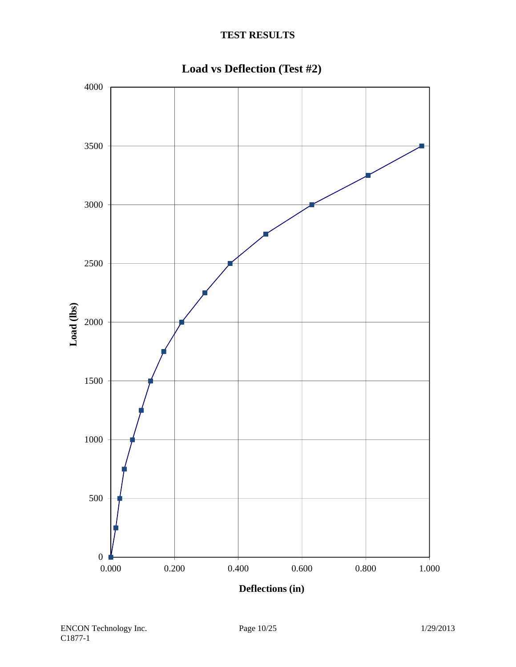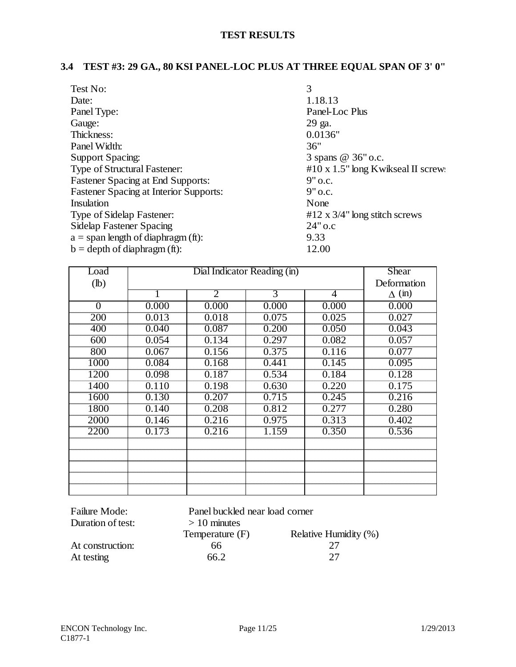# **3.4 TEST #3: 29 GA., 80 KSI PANEL-LOC PLUS AT THREE EQUAL SPAN OF 3' 0"**

| 3                                          |
|--------------------------------------------|
| 1.18.13                                    |
| Panel-Loc Plus                             |
| 29 ga.                                     |
| 0.0136"                                    |
| 36"                                        |
| 3 spans @ 36" o.c.                         |
| $\#10 \times 1.5$ " long Kwikseal II screw |
| 9" o.c.                                    |
| $9"$ o.c.                                  |
| None                                       |
| #12 x $3/4$ " long stitch screws           |
| $24"$ o.c                                  |
| 9.33                                       |
| 12.00                                      |
|                                            |

| Load           | Dial Indicator Reading (in) |                |                |                | <b>Shear</b>  |
|----------------|-----------------------------|----------------|----------------|----------------|---------------|
| $(lb)$         |                             |                |                | Deformation    |               |
|                |                             | $\overline{2}$ | $\overline{3}$ | $\overline{4}$ | $\Delta$ (in) |
| $\overline{0}$ | 0.000                       | 0.000          | 0.000          | 0.000          | 0.000         |
| 200            | 0.013                       | 0.018          | 0.075          | 0.025          | 0.027         |
| 400            | 0.040                       | 0.087          | 0.200          | 0.050          | 0.043         |
| 600            | 0.054                       | 0.134          | 0.297          | 0.082          | 0.057         |
| 800            | 0.067                       | 0.156          | 0.375          | 0.116          | 0.077         |
| 1000           | 0.084                       | 0.168          | 0.441          | 0.145          | 0.095         |
| 1200           | 0.098                       | 0.187          | 0.534          | 0.184          | 0.128         |
| 1400           | 0.110                       | 0.198          | 0.630          | 0.220          | 0.175         |
| 1600           | 0.130                       | 0.207          | 0.715          | 0.245          | 0.216         |
| 1800           | 0.140                       | 0.208          | 0.812          | 0.277          | 0.280         |
| 2000           | 0.146                       | 0.216          | 0.975          | 0.313          | 0.402         |
| 2200           | 0.173                       | 0.216          | 1.159          | 0.350          | 0.536         |
|                |                             |                |                |                |               |
|                |                             |                |                |                |               |
|                |                             |                |                |                |               |
|                |                             |                |                |                |               |
|                |                             |                |                |                |               |

| <b>Failure Mode:</b> | Panel buckled near load corner |                       |  |
|----------------------|--------------------------------|-----------------------|--|
| Duration of test:    | $> 10$ minutes                 |                       |  |
|                      | Temperature (F)                | Relative Humidity (%) |  |
| At construction:     | 66                             | 27                    |  |
| At testing           | 66.2                           | 27                    |  |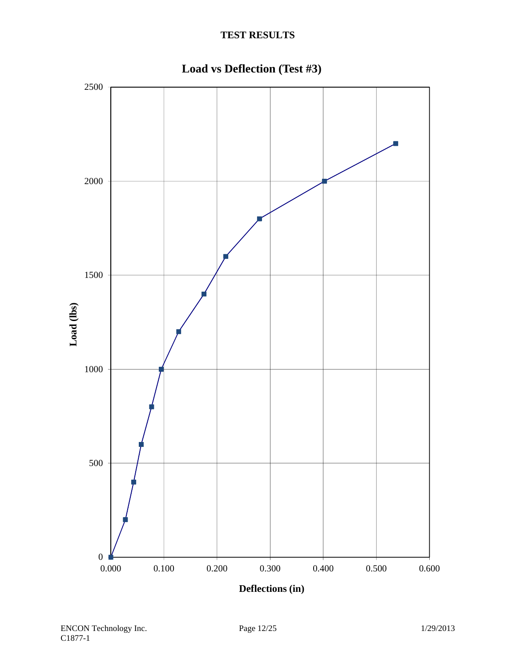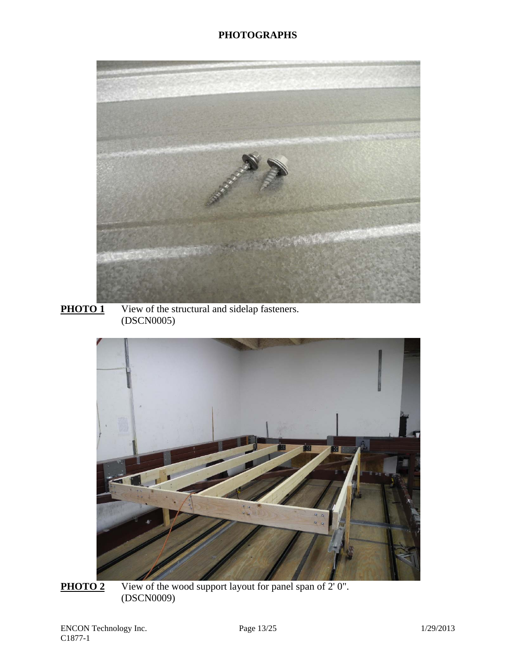





**PHOTO 2** View of the wood support layout for panel span of 2' 0". (DSCN0009)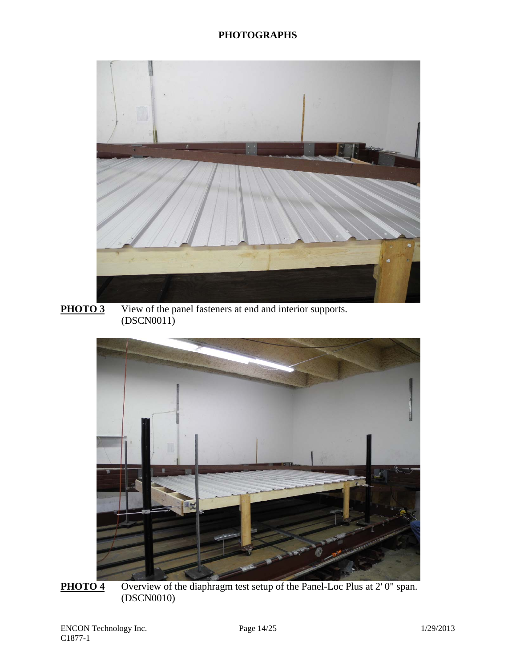## **PHOTOGRAPHS**



**PHOTO 3** View of the panel fasteners at end and interior supports. (DSCN0011)



**PHOTO 4** Overview of the diaphragm test setup of the Panel-Loc Plus at 2' 0" span. (DSCN0010)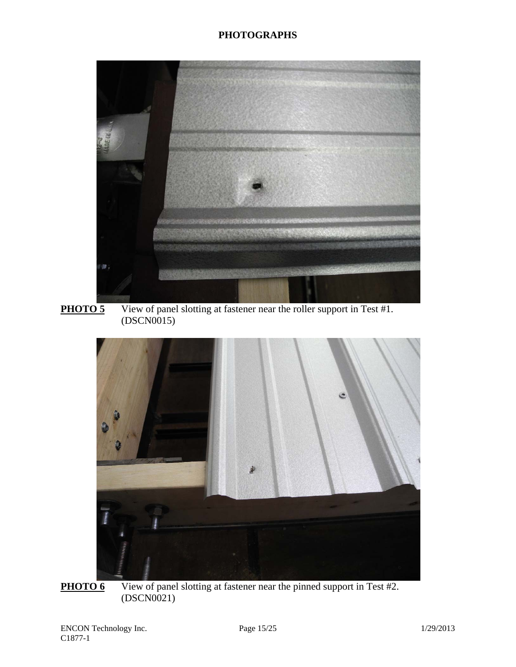## **PHOTOGRAPHS**



**PHOTO 5** View of panel slotting at fastener near the roller support in Test #1. (DSCN0015)



**PHOTO 6** View of panel slotting at fastener near the pinned support in Test #2. (DSCN0021)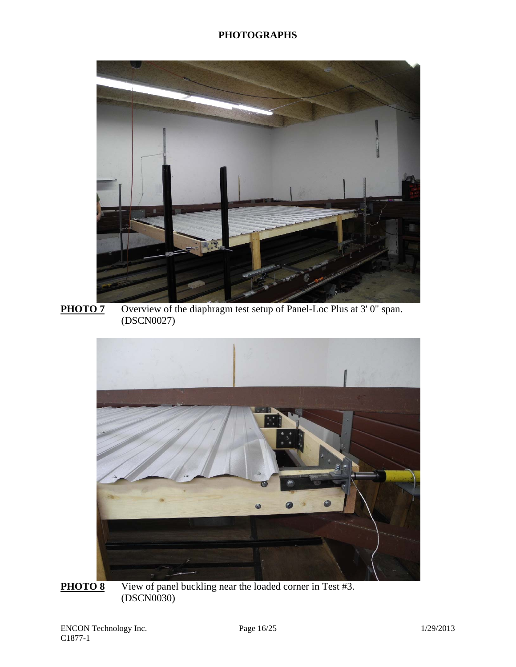

**PHOTO 7** Overview of the diaphragm test setup of Panel-Loc Plus at 3' 0" span. (DSCN0027)



**PHOTO 8** View of panel buckling near the loaded corner in Test #3. (DSCN0030)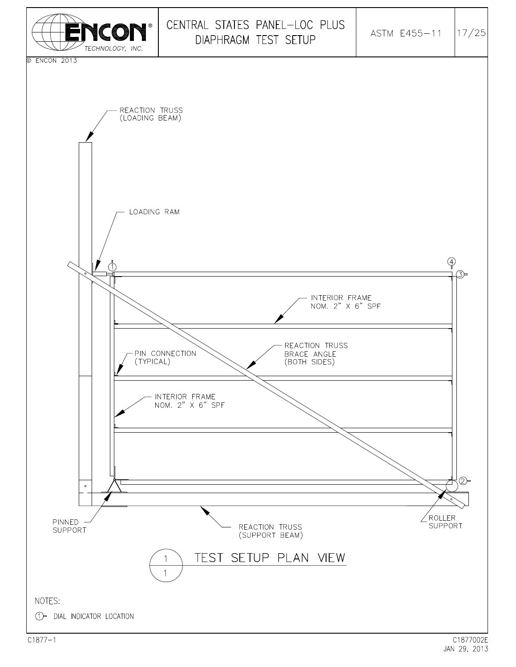

 $C1877 - 1$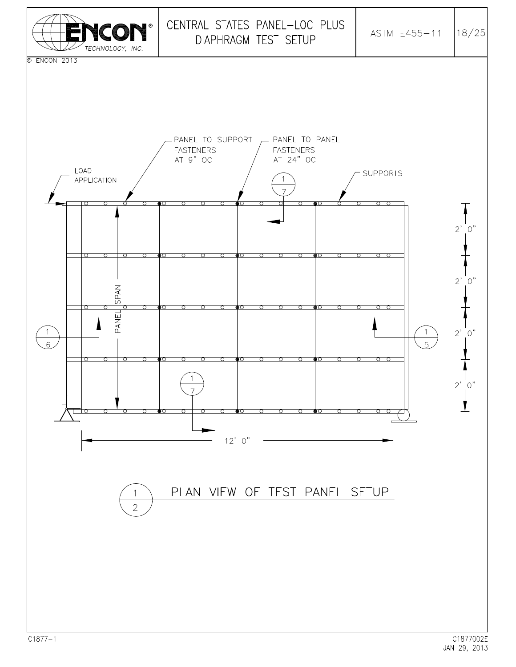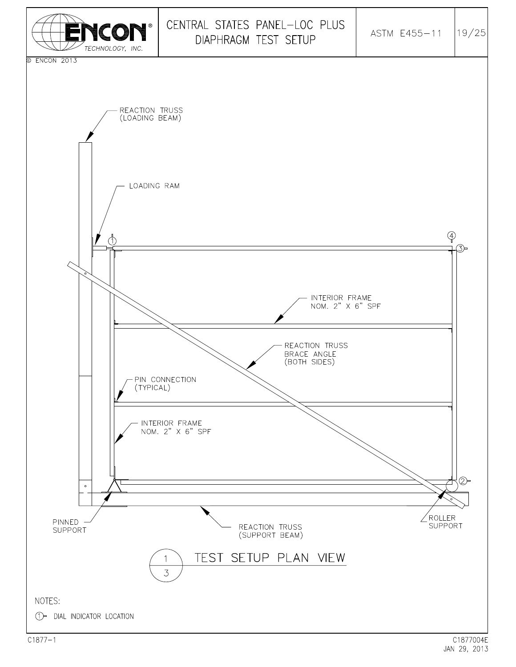

JAN 29, 2013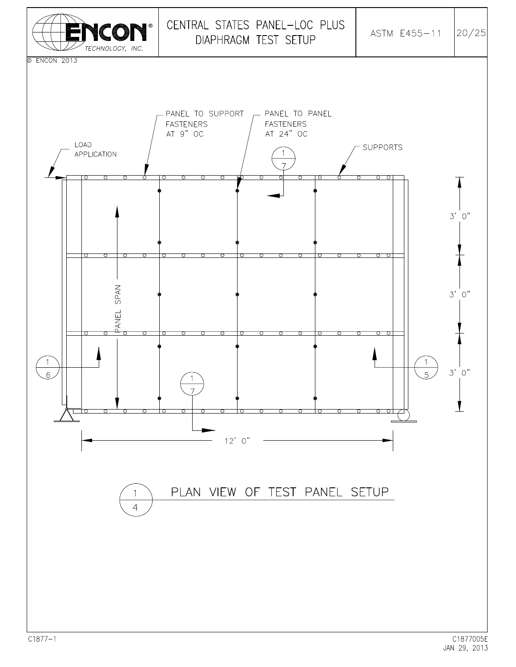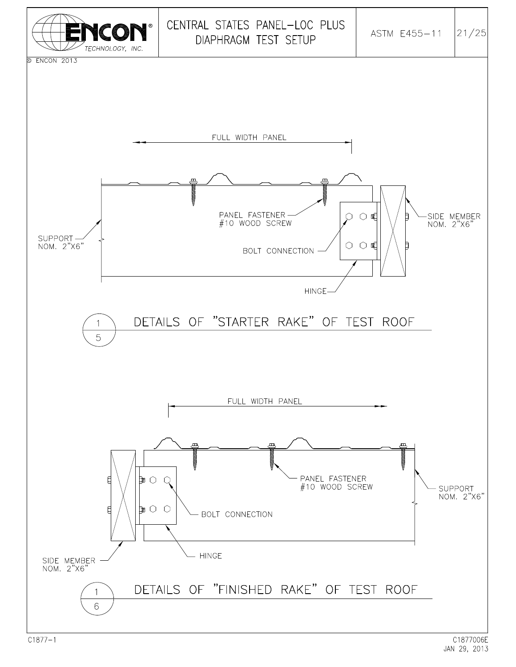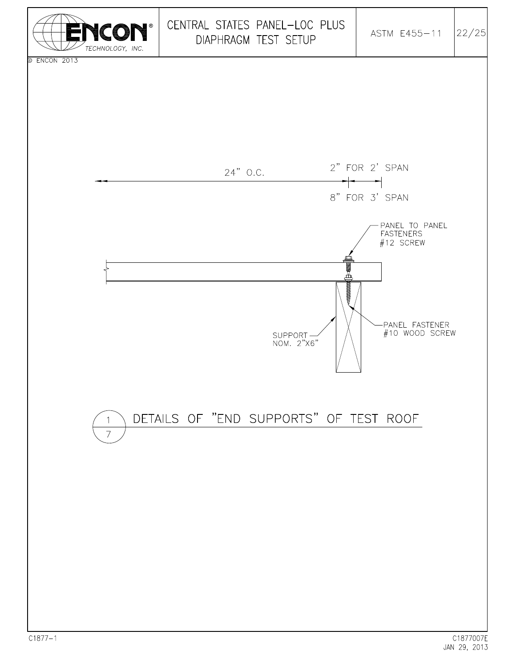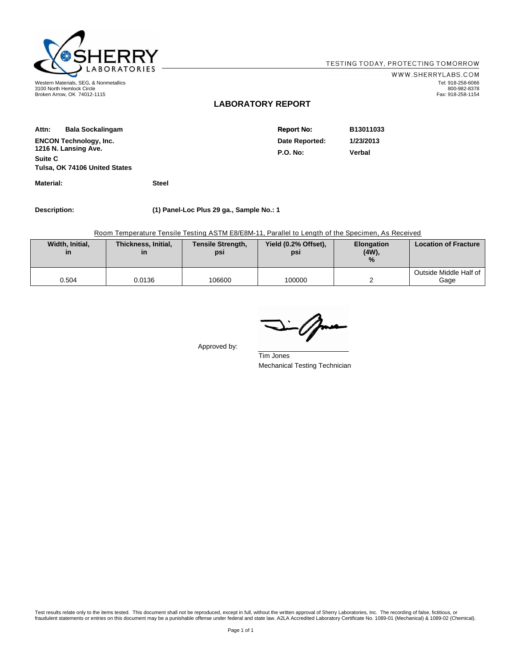

3100 North Hemlock Circle Broken Arrow, OK 74012-1115

WWW.SHERRYLABS.COM Tel: 918-258-6066 800-982-8378 Fax: 918-258-1154

#### **LABORATORY REPORT**

| Attn:                         | <b>Bala Sockalingam</b>       | <b>Report No:</b> | B13011033 |
|-------------------------------|-------------------------------|-------------------|-----------|
| <b>ENCON Technology, Inc.</b> |                               | Date Reported:    | 1/23/2013 |
|                               | 1216 N. Lansing Ave.          | <b>P.O. No:</b>   | Verbal    |
| <b>Suite C</b>                |                               |                   |           |
|                               | Tulsa, OK 74106 United States |                   |           |

**Material: Steel**

**Description: (1) Panel-Loc Plus 29 ga., Sample No.: 1**

Room Temperature Tensile Testing ASTM E8/E8M-11, Parallel to Length of the Specimen, As Received

| Width, Initial,<br>in | Thickness, Initial,<br>ın | <b>Tensile Strength,</b><br>psi | Yield (0.2% Offset),<br>psi | <b>Elongation</b><br>$(4W)$ ,<br>$\%$ | <b>Location of Fracture</b>    |
|-----------------------|---------------------------|---------------------------------|-----------------------------|---------------------------------------|--------------------------------|
| 0.504                 | 0.0136                    | 106600                          | 100000                      |                                       | Outside Middle Half of<br>Gage |

Approved by:

Tim Jones Mechanical Testing Technician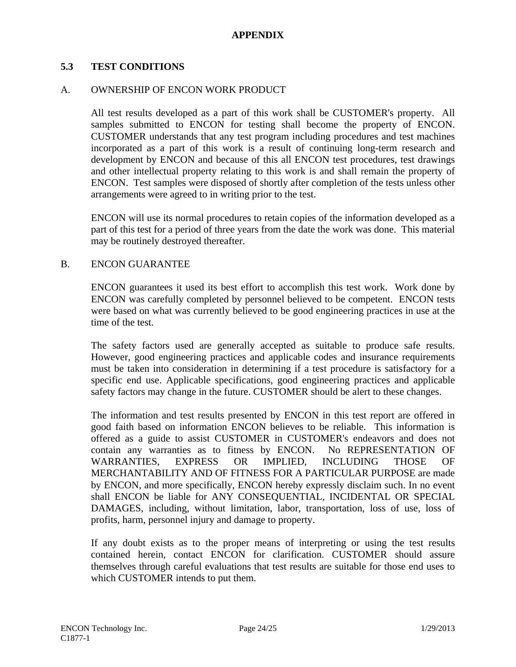## **APPENDIX**

## **5.3 TEST CONDITIONS**

#### A. OWNERSHIP OF ENCON WORK PRODUCT

All test results developed as a part of this work shall be CUSTOMER's property. All samples submitted to ENCON for testing shall become the property of ENCON. CUSTOMER understands that any test program including procedures and test machines incorporated as a part of this work is a result of continuing long-term research and development by ENCON and because of this all ENCON test procedures, test drawings and other intellectual property relating to this work is and shall remain the property of ENCON. Test samples were disposed of shortly after completion of the tests unless other arrangements were agreed to in writing prior to the test.

ENCON will use its normal procedures to retain copies of the information developed as a part of this test for a period of three years from the date the work was done. This material may be routinely destroyed thereafter.

#### B. ENCON GUARANTEE

ENCON guarantees it used its best effort to accomplish this test work. Work done by ENCON was carefully completed by personnel believed to be competent. ENCON tests were based on what was currently believed to be good engineering practices in use at the time of the test.

The safety factors used are generally accepted as suitable to produce safe results. However, good engineering practices and applicable codes and insurance requirements must be taken into consideration in determining if a test procedure is satisfactory for a specific end use. Applicable specifications, good engineering practices and applicable safety factors may change in the future. CUSTOMER should be alert to these changes.

The information and test results presented by ENCON in this test report are offered in good faith based on information ENCON believes to be reliable. This information is offered as a guide to assist CUSTOMER in CUSTOMER's endeavors and does not contain any warranties as to fitness by ENCON. No REPRESENTATION OF WARRANTIES, EXPRESS OR IMPLIED, INCLUDING THOSE OF MERCHANTABILITY AND OF FITNESS FOR A PARTICULAR PURPOSE are made by ENCON, and more specifically, ENCON hereby expressly disclaim such. In no event shall ENCON be liable for ANY CONSEQUENTIAL, INCIDENTAL OR SPECIAL DAMAGES, including, without limitation, labor, transportation, loss of use, loss of profits, harm, personnel injury and damage to property.

If any doubt exists as to the proper means of interpreting or using the test results contained herein, contact ENCON for clarification. CUSTOMER should assure themselves through careful evaluations that test results are suitable for those end uses to which CUSTOMER intends to put them.